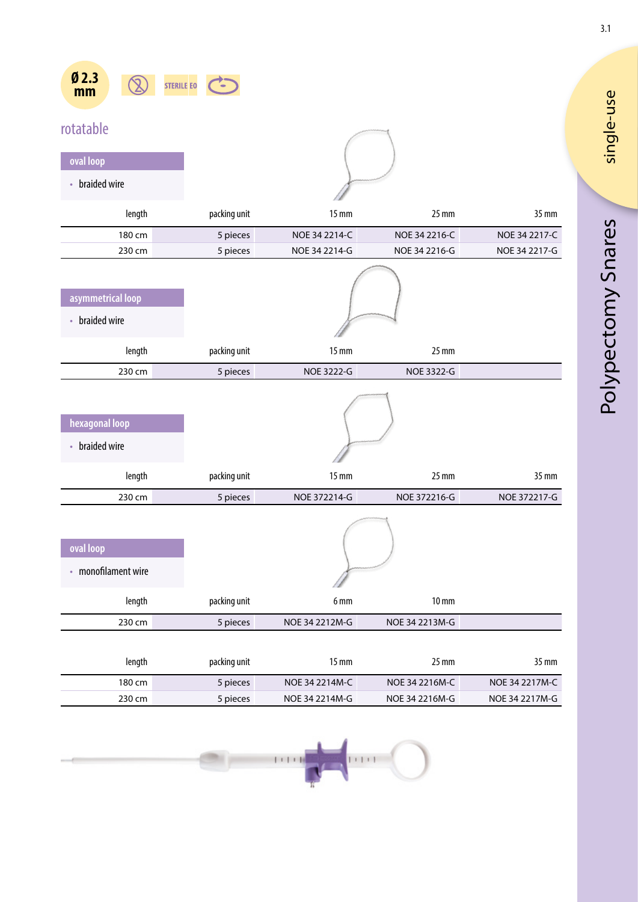| Ø2.3<br>mm | <b>STERILE FO</b> |  |
|------------|-------------------|--|
|            |                   |  |

## rotatable

| oval loop      |  |
|----------------|--|
| • braided wire |  |

| length                                 | packing unit | $15 \text{ mm}$ | $25 \, \text{mm}$                       | 35 mm         |
|----------------------------------------|--------------|-----------------|-----------------------------------------|---------------|
| 180 cm                                 | 5 pieces     | NOE 34 2214-C   | NOE 34 2216-C                           | NOE 34 2217-C |
| 230 cm                                 | 5 pieces     | NOE 34 2214-G   | NOE 34 2216-G                           | NOE 34 2217-G |
| asymmetrical loop<br>braided wire<br>٠ |              |                 |                                         |               |
| length                                 | packing unit | $15 \text{ mm}$ | $25 \text{ mm}$                         |               |
| 230 cm                                 | 5 pieces     | NOE 3222-G      | NOE 3322-G                              |               |
|                                        |              |                 | <b>Management of the Common Service</b> |               |

| hexagonal loop |  |
|----------------|--|
| braided wire   |  |
|                |  |

|        |              | , ,          |              |              |
|--------|--------------|--------------|--------------|--------------|
| length | packing unit | '5 mm        | 25 mm        | 35 mm        |
| 230 cm | 5 pieces     | NOE 372214-G | NOE 372216-G | NOE 372217-G |
|        |              |              |              |              |

| oval loop           |              |                 |                 |  |
|---------------------|--------------|-----------------|-----------------|--|
| • monofilament wire |              |                 |                 |  |
| length              | packing unit | 6 <sub>mm</sub> | $10 \text{ mm}$ |  |
| 230 cm              | 5 pieces     | NOE 34 2212M-G  | NOE 34 2213M-G  |  |

| length           | packing unit | 15 mm          | $25 \text{ mm}$ | 35 mm          |
|------------------|--------------|----------------|-----------------|----------------|
| 180 cm           | 5 pieces     | NOE 34 2214M-C | NOE 34 2216M-C  | NOE 34 2217M-C |
| $230 \text{ cm}$ | 5 pieces     | NOE 34 2214M-G | NOE 34 2216M-G  | NOE 34 2217M-G |